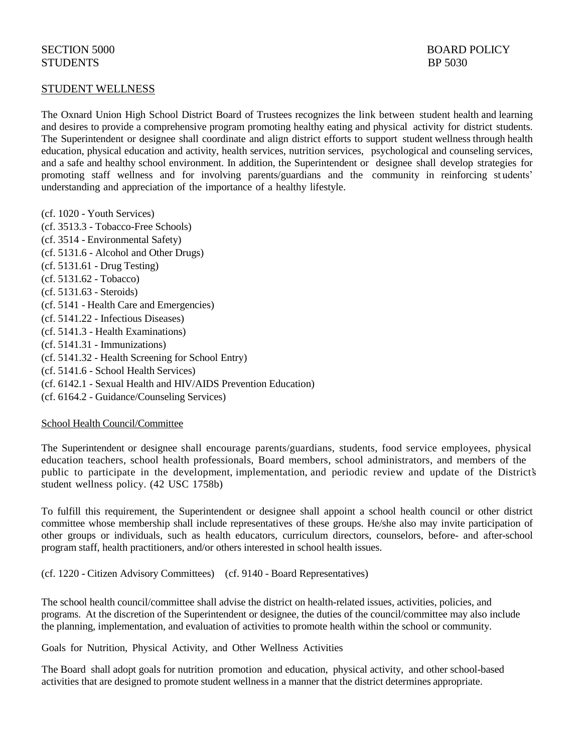## STUDENT WELLNESS

The Oxnard Union High School District Board of Trustees recognizes the link between student health and learning and desires to provide a comprehensive program promoting healthy eating and physical activity for district students. The Superintendent or designee shall coordinate and align district efforts to support student wellness through health education, physical education and activity, health services, nutrition services, psychological and counseling services, and a safe and healthy school environment. In addition, the Superintendent or designee shall develop strategies for promoting staff wellness and for involving parents/guardians and the community in reinforcing st udents' understanding and appreciation of the importance of a healthy lifestyle.

(cf. 1020 - Youth Services) (cf. 3513.3 - Tobacco-Free Schools) (cf. 3514 - Environmental Safety) (cf. 5131.6 - Alcohol and Other Drugs) (cf. 5131.61 - Drug Testing) (cf. 5131.62 - Tobacco) (cf. 5131.63 - Steroids) (cf. 5141 - Health Care and Emergencies) (cf. 5141.22 - Infectious Diseases) (cf. 5141.3 - Health Examinations) (cf. 5141.31 - Immunizations) (cf. 5141.32 - Health Screening for School Entry) (cf. 5141.6 - School Health Services) (cf. 6142.1 - Sexual Health and HIV/AIDS Prevention Education) (cf. 6164.2 - Guidance/Counseling Services)

### School Health Council/Committee

The Superintendent or designee shall encourage parents/guardians, students, food service employees, physical education teachers, school health professionals, Board members, school administrators, and members of the public to participate in the development, implementation, and periodic review and update of the District's student wellness policy. (42 USC 1758b)

To fulfill this requirement, the Superintendent or designee shall appoint a school health council or other district committee whose membership shall include representatives of these groups. He/she also may invite participation of other groups or individuals, such as health educators, curriculum directors, counselors, before- and after-school program staff, health practitioners, and/or others interested in school health issues.

(cf. 1220 - Citizen Advisory Committees) (cf. 9140 - Board Representatives)

The school health council/committee shall advise the district on health-related issues, activities, policies, and programs. At the discretion of the Superintendent or designee, the duties of the council/committee may also include the planning, implementation, and evaluation of activities to promote health within the school or community.

Goals for Nutrition, Physical Activity, and Other Wellness Activities

The Board shall adopt goals for nutrition promotion and education, physical activity, and other school-based activities that are designed to promote student wellnessin a manner that the district determines appropriate.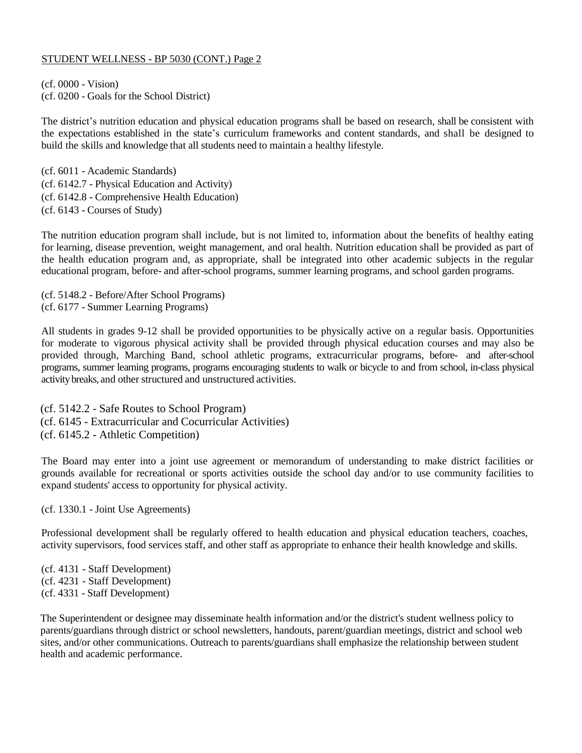(cf. 0000 - Vision) (cf. 0200 - Goals for the School District)

The district's nutrition education and physical education programs shall be based on research, shall be consistent with the expectations established in the state's curriculum frameworks and content standards, and shall be designed to build the skills and knowledge that all students need to maintain a healthy lifestyle.

(cf. 6011 - Academic Standards) (cf. 6142.7 - Physical Education and Activity) (cf. 6142.8 - Comprehensive Health Education) (cf. 6143 - Courses of Study)

The nutrition education program shall include, but is not limited to, information about the benefits of healthy eating for learning, disease prevention, weight management, and oral health. Nutrition education shall be provided as part of the health education program and, as appropriate, shall be integrated into other academic subjects in the regular educational program, before- and after-school programs, summer learning programs, and school garden programs.

(cf. 5148.2 - Before/After School Programs) (cf. 6177 - Summer Learning Programs)

All students in grades 9-12 shall be provided opportunities to be physically active on a regular basis. Opportunities for moderate to vigorous physical activity shall be provided through physical education courses and may also be provided through, Marching Band, school athletic programs, extracurricular programs, before- and after-school programs, summer learning programs, programs encouraging students to walk or bicycle to and from school, in-class physical activitybreaks, and other structured and unstructured activities.

(cf. 5142.2 - Safe Routes to School Program) (cf. 6145 - Extracurricular and Cocurricular Activities) (cf. 6145.2 - Athletic Competition)

The Board may enter into a joint use agreement or memorandum of understanding to make district facilities or grounds available for recreational or sports activities outside the school day and/or to use community facilities to expand students' access to opportunity for physical activity.

(cf. 1330.1 - Joint Use Agreements)

Professional development shall be regularly offered to health education and physical education teachers, coaches, activity supervisors, food services staff, and other staff as appropriate to enhance their health knowledge and skills.

(cf. 4131 - Staff Development) (cf. 4231 - Staff Development) (cf. 4331 - Staff Development)

The Superintendent or designee may disseminate health information and/or the district's student wellness policy to parents/guardians through district or school newsletters, handouts, parent/guardian meetings, district and school web sites, and/or other communications. Outreach to parents/guardians shall emphasize the relationship between student health and academic performance.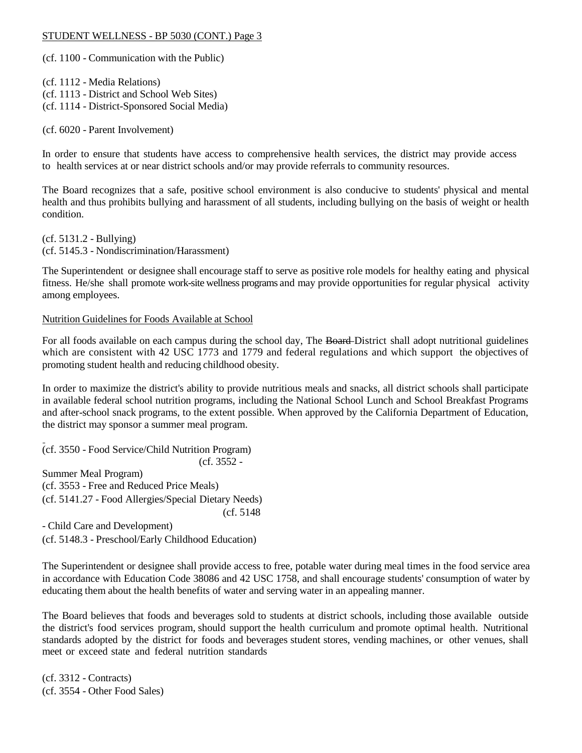(cf. 1100 - Communication with the Public)

(cf. 1112 - Media Relations) (cf. 1113 - District and School Web Sites) (cf. 1114 - District-Sponsored Social Media)

(cf. 6020 - Parent Involvement)

In order to ensure that students have access to comprehensive health services, the district may provide access to health services at or near district schools and/or may provide referrals to community resources.

The Board recognizes that a safe, positive school environment is also conducive to students' physical and mental health and thus prohibits bullying and harassment of all students, including bullying on the basis of weight or health condition.

(cf. 5131.2 - Bullying) (cf. 5145.3 - Nondiscrimination/Harassment)

The Superintendent or designee shall encourage staff to serve as positive role models for healthy eating and physical fitness. He/she shall promote work-site wellness programs and may provide opportunities for regular physical activity among employees.

#### Nutrition Guidelines for Foods Available at School

For all foods available on each campus during the school day, The Board-District shall adopt nutritional guidelines which are consistent with 42 USC 1773 and 1779 and federal regulations and which support the objectives of promoting student health and reducing childhood obesity.

In order to maximize the district's ability to provide nutritious meals and snacks, all district schools shall participate in available federal school nutrition programs, including the National School Lunch and School Breakfast Programs and after-school snack programs, to the extent possible. When approved by the California Department of Education, the district may sponsor a summer meal program.

(cf. 3550 - Food Service/Child Nutrition Program) (cf. 3552 -

Summer Meal Program) (cf. 3553 - Free and Reduced Price Meals) (cf. 5141.27 - Food Allergies/Special Dietary Needs) (cf. 5148

- Child Care and Development) (cf. 5148.3 - Preschool/Early Childhood Education)

The Superintendent or designee shall provide access to free, potable water during meal times in the food service area in accordance with Education Code 38086 and 42 USC 1758, and shall encourage students' consumption of water by educating them about the health benefits of water and serving water in an appealing manner.

The Board believes that foods and beverages sold to students at district schools, including those available outside the district's food services program, should support the health curriculum and promote optimal health. Nutritional standards adopted by the district for foods and beverages student stores, vending machines, or other venues, shall meet or exceed state and federal nutrition standards

(cf. 3312 - Contracts) (cf. 3554 - Other Food Sales)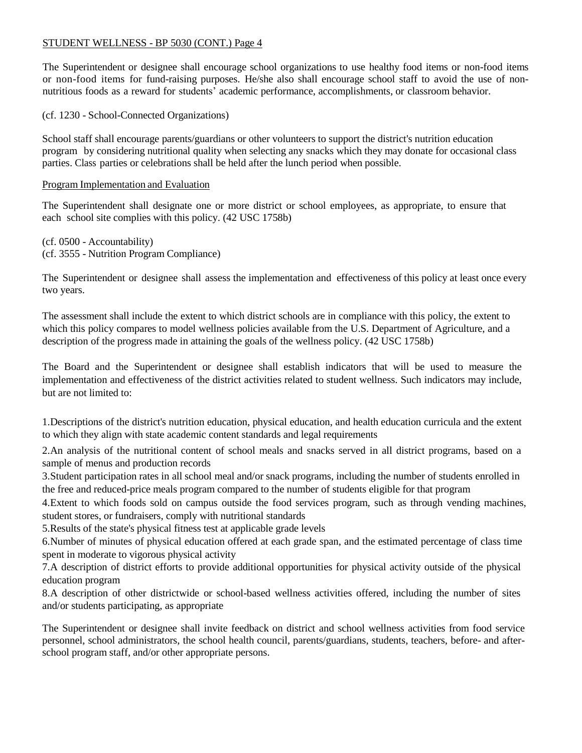The Superintendent or designee shall encourage school organizations to use healthy food items or non-food items or non-food items for fund-raising purposes. He/she also shall encourage school staff to avoid the use of nonnutritious foods as a reward for students' academic performance, accomplishments, or classroom behavior.

(cf. 1230 - School-Connected Organizations)

School staff shall encourage parents/guardians or other volunteers to support the district's nutrition education program by considering nutritional quality when selecting any snacks which they may donate for occasional class parties. Class parties or celebrations shall be held after the lunch period when possible.

## Program Implementation and Evaluation

The Superintendent shall designate one or more district or school employees, as appropriate, to ensure that each school site complies with this policy. (42 USC 1758b)

(cf. 0500 - Accountability) (cf. 3555 - Nutrition Program Compliance)

The Superintendent or designee shall assess the implementation and effectiveness of this policy at least once every two years.

The assessment shall include the extent to which district schools are in compliance with this policy, the extent to which this policy compares to model wellness policies available from the U.S. Department of Agriculture, and a description of the progress made in attaining the goals of the wellness policy. (42 USC 1758b)

The Board and the Superintendent or designee shall establish indicators that will be used to measure the implementation and effectiveness of the district activities related to student wellness. Such indicators may include, but are not limited to:

1.Descriptions of the district's nutrition education, physical education, and health education curricula and the extent to which they align with state academic content standards and legal requirements

2.An analysis of the nutritional content of school meals and snacks served in all district programs, based on a sample of menus and production records

3.Student participation rates in all school meal and/or snack programs, including the number of students enrolled in the free and reduced-price meals program compared to the number of students eligible for that program

4.Extent to which foods sold on campus outside the food services program, such as through vending machines, student stores, or fundraisers, comply with nutritional standards

5.Results of the state's physical fitness test at applicable grade levels

6.Number of minutes of physical education offered at each grade span, and the estimated percentage of class time spent in moderate to vigorous physical activity

7.A description of district efforts to provide additional opportunities for physical activity outside of the physical education program

8.A description of other districtwide or school-based wellness activities offered, including the number of sites and/or students participating, as appropriate

The Superintendent or designee shall invite feedback on district and school wellness activities from food service personnel, school administrators, the school health council, parents/guardians, students, teachers, before- and afterschool program staff, and/or other appropriate persons.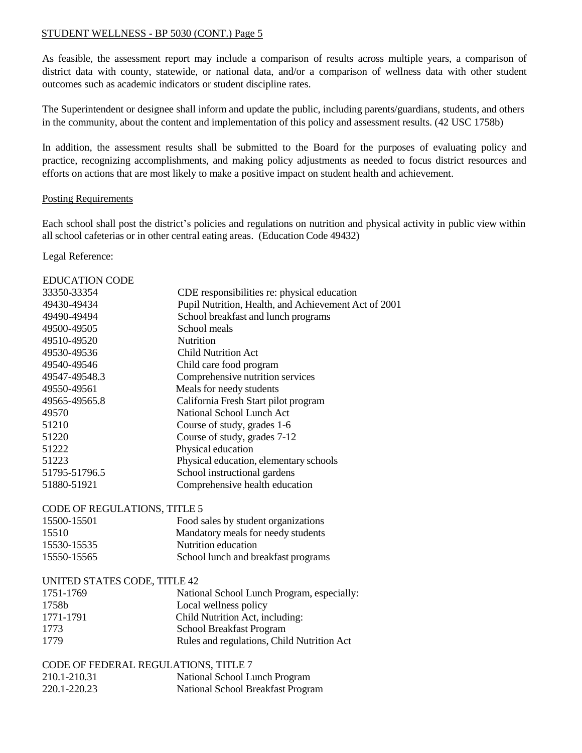As feasible, the assessment report may include a comparison of results across multiple years, a comparison of district data with county, statewide, or national data, and/or a comparison of wellness data with other student outcomes such as academic indicators or student discipline rates.

The Superintendent or designee shall inform and update the public, including parents/guardians, students, and others in the community, about the content and implementation of this policy and assessment results. (42 USC 1758b)

In addition, the assessment results shall be submitted to the Board for the purposes of evaluating policy and practice, recognizing accomplishments, and making policy adjustments as needed to focus district resources and efforts on actions that are most likely to make a positive impact on student health and achievement.

### Posting Requirements

Each school shall post the district's policies and regulations on nutrition and physical activity in public view within all school cafeterias or in other central eating areas. (Education Code 49432)

Legal Reference:

| 33350-33354<br>CDE responsibilities re: physical education<br>Pupil Nutrition, Health, and Achievement Act of 2001<br>49430-49434<br>School breakfast and lunch programs<br>49490-49494<br>49500-49505<br>School meals<br>49510-49520<br><b>Nutrition</b><br>49530-49536<br><b>Child Nutrition Act</b><br>49540-49546<br>Child care food program<br>Comprehensive nutrition services<br>49547-49548.3<br>49550-49561<br>Meals for needy students<br>California Fresh Start pilot program<br>49565-49565.8<br>National School Lunch Act<br>49570<br>51210<br>Course of study, grades 1-6<br>Course of study, grades 7-12<br>51220<br>Physical education<br>51222<br>Physical education, elementary schools<br>51223<br>School instructional gardens<br>51795-51796.5<br>Comprehensive health education<br>51880-51921<br>CODE OF REGULATIONS, TITLE 5<br>15500-15501<br>Food sales by student organizations<br>Mandatory meals for needy students<br>15510<br>Nutrition education<br>15530-15535<br>15550-15565<br>School lunch and breakfast programs<br>UNITED STATES CODE, TITLE 42<br>1751-1769<br>National School Lunch Program, especially:<br>Local wellness policy<br>1758b<br>Child Nutrition Act, including:<br>1771-1791<br>School Breakfast Program<br>1773<br>Rules and regulations, Child Nutrition Act<br>1779<br>CODE OF FEDERAL REGULATIONS, TITLE 7<br>210.1-210.31<br>National School Lunch Program | <b>EDUCATION CODE</b> |                                   |
|-----------------------------------------------------------------------------------------------------------------------------------------------------------------------------------------------------------------------------------------------------------------------------------------------------------------------------------------------------------------------------------------------------------------------------------------------------------------------------------------------------------------------------------------------------------------------------------------------------------------------------------------------------------------------------------------------------------------------------------------------------------------------------------------------------------------------------------------------------------------------------------------------------------------------------------------------------------------------------------------------------------------------------------------------------------------------------------------------------------------------------------------------------------------------------------------------------------------------------------------------------------------------------------------------------------------------------------------------------------------------------------------------------------------------|-----------------------|-----------------------------------|
|                                                                                                                                                                                                                                                                                                                                                                                                                                                                                                                                                                                                                                                                                                                                                                                                                                                                                                                                                                                                                                                                                                                                                                                                                                                                                                                                                                                                                       |                       |                                   |
|                                                                                                                                                                                                                                                                                                                                                                                                                                                                                                                                                                                                                                                                                                                                                                                                                                                                                                                                                                                                                                                                                                                                                                                                                                                                                                                                                                                                                       |                       |                                   |
|                                                                                                                                                                                                                                                                                                                                                                                                                                                                                                                                                                                                                                                                                                                                                                                                                                                                                                                                                                                                                                                                                                                                                                                                                                                                                                                                                                                                                       |                       |                                   |
|                                                                                                                                                                                                                                                                                                                                                                                                                                                                                                                                                                                                                                                                                                                                                                                                                                                                                                                                                                                                                                                                                                                                                                                                                                                                                                                                                                                                                       |                       |                                   |
|                                                                                                                                                                                                                                                                                                                                                                                                                                                                                                                                                                                                                                                                                                                                                                                                                                                                                                                                                                                                                                                                                                                                                                                                                                                                                                                                                                                                                       |                       |                                   |
|                                                                                                                                                                                                                                                                                                                                                                                                                                                                                                                                                                                                                                                                                                                                                                                                                                                                                                                                                                                                                                                                                                                                                                                                                                                                                                                                                                                                                       |                       |                                   |
|                                                                                                                                                                                                                                                                                                                                                                                                                                                                                                                                                                                                                                                                                                                                                                                                                                                                                                                                                                                                                                                                                                                                                                                                                                                                                                                                                                                                                       |                       |                                   |
|                                                                                                                                                                                                                                                                                                                                                                                                                                                                                                                                                                                                                                                                                                                                                                                                                                                                                                                                                                                                                                                                                                                                                                                                                                                                                                                                                                                                                       |                       |                                   |
|                                                                                                                                                                                                                                                                                                                                                                                                                                                                                                                                                                                                                                                                                                                                                                                                                                                                                                                                                                                                                                                                                                                                                                                                                                                                                                                                                                                                                       |                       |                                   |
|                                                                                                                                                                                                                                                                                                                                                                                                                                                                                                                                                                                                                                                                                                                                                                                                                                                                                                                                                                                                                                                                                                                                                                                                                                                                                                                                                                                                                       |                       |                                   |
|                                                                                                                                                                                                                                                                                                                                                                                                                                                                                                                                                                                                                                                                                                                                                                                                                                                                                                                                                                                                                                                                                                                                                                                                                                                                                                                                                                                                                       |                       |                                   |
|                                                                                                                                                                                                                                                                                                                                                                                                                                                                                                                                                                                                                                                                                                                                                                                                                                                                                                                                                                                                                                                                                                                                                                                                                                                                                                                                                                                                                       |                       |                                   |
|                                                                                                                                                                                                                                                                                                                                                                                                                                                                                                                                                                                                                                                                                                                                                                                                                                                                                                                                                                                                                                                                                                                                                                                                                                                                                                                                                                                                                       |                       |                                   |
|                                                                                                                                                                                                                                                                                                                                                                                                                                                                                                                                                                                                                                                                                                                                                                                                                                                                                                                                                                                                                                                                                                                                                                                                                                                                                                                                                                                                                       |                       |                                   |
|                                                                                                                                                                                                                                                                                                                                                                                                                                                                                                                                                                                                                                                                                                                                                                                                                                                                                                                                                                                                                                                                                                                                                                                                                                                                                                                                                                                                                       |                       |                                   |
|                                                                                                                                                                                                                                                                                                                                                                                                                                                                                                                                                                                                                                                                                                                                                                                                                                                                                                                                                                                                                                                                                                                                                                                                                                                                                                                                                                                                                       |                       |                                   |
|                                                                                                                                                                                                                                                                                                                                                                                                                                                                                                                                                                                                                                                                                                                                                                                                                                                                                                                                                                                                                                                                                                                                                                                                                                                                                                                                                                                                                       |                       |                                   |
|                                                                                                                                                                                                                                                                                                                                                                                                                                                                                                                                                                                                                                                                                                                                                                                                                                                                                                                                                                                                                                                                                                                                                                                                                                                                                                                                                                                                                       |                       |                                   |
|                                                                                                                                                                                                                                                                                                                                                                                                                                                                                                                                                                                                                                                                                                                                                                                                                                                                                                                                                                                                                                                                                                                                                                                                                                                                                                                                                                                                                       |                       |                                   |
|                                                                                                                                                                                                                                                                                                                                                                                                                                                                                                                                                                                                                                                                                                                                                                                                                                                                                                                                                                                                                                                                                                                                                                                                                                                                                                                                                                                                                       |                       |                                   |
|                                                                                                                                                                                                                                                                                                                                                                                                                                                                                                                                                                                                                                                                                                                                                                                                                                                                                                                                                                                                                                                                                                                                                                                                                                                                                                                                                                                                                       |                       |                                   |
|                                                                                                                                                                                                                                                                                                                                                                                                                                                                                                                                                                                                                                                                                                                                                                                                                                                                                                                                                                                                                                                                                                                                                                                                                                                                                                                                                                                                                       |                       |                                   |
|                                                                                                                                                                                                                                                                                                                                                                                                                                                                                                                                                                                                                                                                                                                                                                                                                                                                                                                                                                                                                                                                                                                                                                                                                                                                                                                                                                                                                       |                       |                                   |
|                                                                                                                                                                                                                                                                                                                                                                                                                                                                                                                                                                                                                                                                                                                                                                                                                                                                                                                                                                                                                                                                                                                                                                                                                                                                                                                                                                                                                       |                       |                                   |
|                                                                                                                                                                                                                                                                                                                                                                                                                                                                                                                                                                                                                                                                                                                                                                                                                                                                                                                                                                                                                                                                                                                                                                                                                                                                                                                                                                                                                       |                       |                                   |
|                                                                                                                                                                                                                                                                                                                                                                                                                                                                                                                                                                                                                                                                                                                                                                                                                                                                                                                                                                                                                                                                                                                                                                                                                                                                                                                                                                                                                       |                       |                                   |
|                                                                                                                                                                                                                                                                                                                                                                                                                                                                                                                                                                                                                                                                                                                                                                                                                                                                                                                                                                                                                                                                                                                                                                                                                                                                                                                                                                                                                       |                       |                                   |
|                                                                                                                                                                                                                                                                                                                                                                                                                                                                                                                                                                                                                                                                                                                                                                                                                                                                                                                                                                                                                                                                                                                                                                                                                                                                                                                                                                                                                       |                       |                                   |
|                                                                                                                                                                                                                                                                                                                                                                                                                                                                                                                                                                                                                                                                                                                                                                                                                                                                                                                                                                                                                                                                                                                                                                                                                                                                                                                                                                                                                       |                       |                                   |
|                                                                                                                                                                                                                                                                                                                                                                                                                                                                                                                                                                                                                                                                                                                                                                                                                                                                                                                                                                                                                                                                                                                                                                                                                                                                                                                                                                                                                       |                       |                                   |
|                                                                                                                                                                                                                                                                                                                                                                                                                                                                                                                                                                                                                                                                                                                                                                                                                                                                                                                                                                                                                                                                                                                                                                                                                                                                                                                                                                                                                       |                       |                                   |
|                                                                                                                                                                                                                                                                                                                                                                                                                                                                                                                                                                                                                                                                                                                                                                                                                                                                                                                                                                                                                                                                                                                                                                                                                                                                                                                                                                                                                       |                       |                                   |
|                                                                                                                                                                                                                                                                                                                                                                                                                                                                                                                                                                                                                                                                                                                                                                                                                                                                                                                                                                                                                                                                                                                                                                                                                                                                                                                                                                                                                       | 220.1-220.23          | National School Breakfast Program |